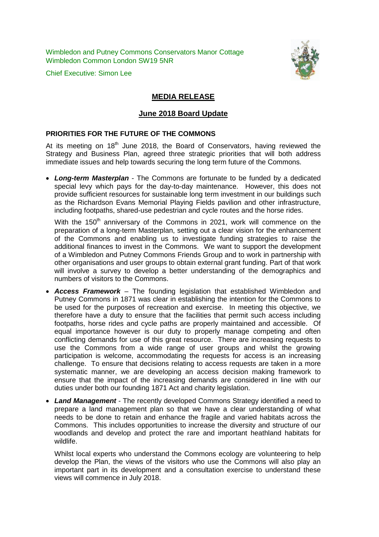Wimbledon and Putney Commons Conservators Manor Cottage Wimbledon Common London SW19 5NR

Chief Executive: Simon Lee



# **MEDIA RELEASE**

## **June 2018 Board Update**

#### **PRIORITIES FOR THE FUTURE OF THE COMMONS**

At its meeting on  $18<sup>th</sup>$  June 2018, the Board of Conservators, having reviewed the Strategy and Business Plan, agreed three strategic priorities that will both address immediate issues and help towards securing the long term future of the Commons.

• *Long-term Masterplan* - The Commons are fortunate to be funded by a dedicated special levy which pays for the day-to-day maintenance. However, this does not provide sufficient resources for sustainable long term investment in our buildings such as the Richardson Evans Memorial Playing Fields pavilion and other infrastructure, including footpaths, shared-use pedestrian and cycle routes and the horse rides.

With the 150<sup>th</sup> anniversary of the Commons in 2021, work will commence on the preparation of a long-term Masterplan, setting out a clear vision for the enhancement of the Commons and enabling us to investigate funding strategies to raise the additional finances to invest in the Commons. We want to support the development of a Wimbledon and Putney Commons Friends Group and to work in partnership with other organisations and user groups to obtain external grant funding. Part of that work will involve a survey to develop a better understanding of the demographics and numbers of visitors to the Commons.

- *Access Framework* The founding legislation that established Wimbledon and Putney Commons in 1871 was clear in establishing the intention for the Commons to be used for the purposes of recreation and exercise. In meeting this objective, we therefore have a duty to ensure that the facilities that permit such access including footpaths, horse rides and cycle paths are properly maintained and accessible. Of equal importance however is our duty to properly manage competing and often conflicting demands for use of this great resource. There are increasing requests to use the Commons from a wide range of user groups and whilst the growing participation is welcome, accommodating the requests for access is an increasing challenge. To ensure that decisions relating to access requests are taken in a more systematic manner, we are developing an access decision making framework to ensure that the impact of the increasing demands are considered in line with our duties under both our founding 1871 Act and charity legislation.
- *Land Management* The recently developed Commons Strategy identified a need to prepare a land management plan so that we have a clear understanding of what needs to be done to retain and enhance the fragile and varied habitats across the Commons. This includes opportunities to increase the diversity and structure of our woodlands and develop and protect the rare and important heathland habitats for wildlife.

Whilst local experts who understand the Commons ecology are volunteering to help develop the Plan, the views of the visitors who use the Commons will also play an important part in its development and a consultation exercise to understand these views will commence in July 2018.